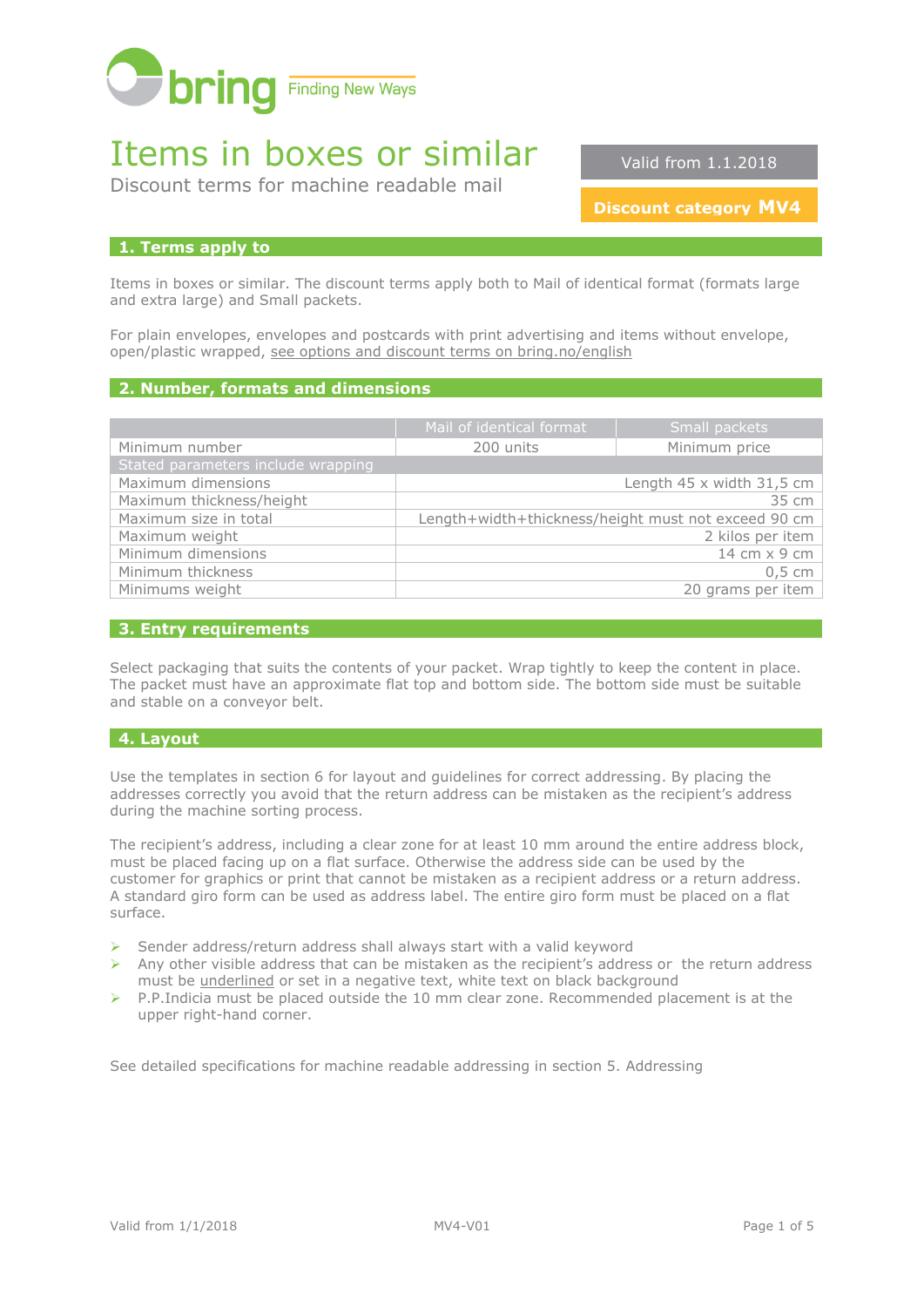

# Items in boxes or similar

Discount terms for machine readable mail

Valid from 1.1.2018

**Discount category MV4**

## **1. Terms apply to**

Items in boxes or similar. The discount terms apply both to Mail of identical format (formats large and extra large) and Small packets.

For plain envelopes, envelopes and postcards with print advertising and items without envelope, open/plastic wrapped, [see options and discount terms on bring.no/english](http://www.bring.no/english/terms-and-conditions/mail/mail-identical-formats/discount-terms-machine-readable-mail)

## **2. Number, formats and dimensions**

|                                    | Mail of identical format | Small packets                                       |
|------------------------------------|--------------------------|-----------------------------------------------------|
| Minimum number                     | 200 units                | Minimum price                                       |
| Stated parameters include wrapping |                          |                                                     |
| Maximum dimensions                 |                          | Length $45 \times$ width $31,5$ cm                  |
| Maximum thickness/height           |                          | 35 cm                                               |
| Maximum size in total              |                          | Length+width+thickness/height must not exceed 90 cm |
| Maximum weight                     |                          | 2 kilos per item                                    |
| Minimum dimensions                 |                          | 14 cm x 9 cm                                        |
| Minimum thickness                  |                          | $0.5 \text{ cm}$                                    |
| Minimums weight                    |                          | 20 grams per item                                   |

## **3. Entry requirements**

Select packaging that suits the contents of your packet. Wrap tightly to keep the content in place. The packet must have an approximate flat top and bottom side. The bottom side must be suitable and stable on a conveyor belt.

## **4. Layout**

Use the templates in section 6 for layout and guidelines for correct addressing. By placing the addresses correctly you avoid that the return address can be mistaken as the recipient's address during the machine sorting process.

The recipient's address, including a clear zone for at least 10 mm around the entire address block, must be placed facing up on a flat surface. Otherwise the address side can be used by the customer for graphics or print that cannot be mistaken as a recipient address or a return address. A standard giro form can be used as address label. The entire giro form must be placed on a flat surface.

- ➢ Sender address/return address shall always start with a valid keyword
- $\triangleright$  Any other visible address that can be mistaken as the recipient's address or the return address must be underlined or set in a negative text, white text on black background
- ➢ P.P.Indicia must be placed outside the 10 mm clear zone. Recommended placement is at the upper right-hand corner.

See detailed specifications for machine readable addressing in section 5. Addressing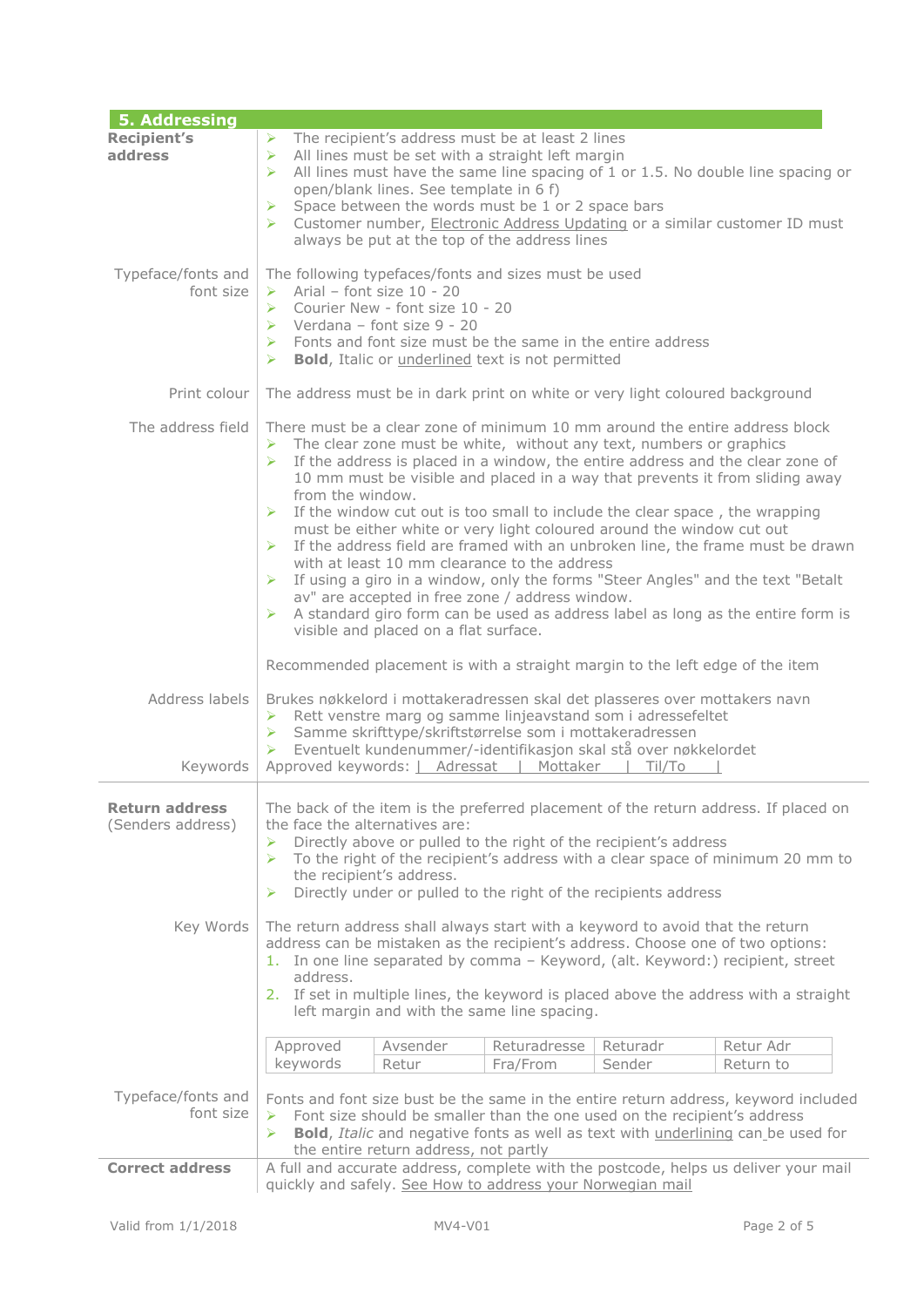| 5. Addressing                              |                                                                                                                                                                                                                                                                                                                                                                                                                                                                                                                                                                                                                                                                                                                                                                                                                                                                                                                               |  |
|--------------------------------------------|-------------------------------------------------------------------------------------------------------------------------------------------------------------------------------------------------------------------------------------------------------------------------------------------------------------------------------------------------------------------------------------------------------------------------------------------------------------------------------------------------------------------------------------------------------------------------------------------------------------------------------------------------------------------------------------------------------------------------------------------------------------------------------------------------------------------------------------------------------------------------------------------------------------------------------|--|
| <b>Recipient's</b><br>address              | The recipient's address must be at least 2 lines<br>⋗<br>All lines must be set with a straight left margin<br>➤<br>$\blacktriangleright$<br>All lines must have the same line spacing of 1 or 1.5. No double line spacing or<br>open/blank lines. See template in 6 f)<br>Space between the words must be 1 or 2 space bars<br>⋗<br>Customer number, Electronic Address Updating or a similar customer ID must<br>⋗<br>always be put at the top of the address lines                                                                                                                                                                                                                                                                                                                                                                                                                                                          |  |
| Typeface/fonts and<br>font size            | The following typefaces/fonts and sizes must be used<br>$\triangleright$ Arial - font size 10 - 20<br>Courier New - font size 10 - 20<br>$\blacktriangleright$<br>$\triangleright$ Verdana - font size 9 - 20<br>$\triangleright$ Fonts and font size must be the same in the entire address<br>$\blacktriangleright$<br><b>Bold</b> , Italic or <i>underlined</i> text is not permitted                                                                                                                                                                                                                                                                                                                                                                                                                                                                                                                                      |  |
| Print colour                               | The address must be in dark print on white or very light coloured background                                                                                                                                                                                                                                                                                                                                                                                                                                                                                                                                                                                                                                                                                                                                                                                                                                                  |  |
| The address field                          | There must be a clear zone of minimum 10 mm around the entire address block<br>The clear zone must be white, without any text, numbers or graphics<br>➤<br>If the address is placed in a window, the entire address and the clear zone of<br>10 mm must be visible and placed in a way that prevents it from sliding away<br>from the window.<br>If the window cut out is too small to include the clear space, the wrapping<br>➤<br>must be either white or very light coloured around the window cut out<br>If the address field are framed with an unbroken line, the frame must be drawn<br>➤<br>with at least 10 mm clearance to the address<br>If using a giro in a window, only the forms "Steer Angles" and the text "Betalt<br>➤<br>av" are accepted in free zone / address window.<br>A standard giro form can be used as address label as long as the entire form is<br>➤<br>visible and placed on a flat surface. |  |
|                                            | Recommended placement is with a straight margin to the left edge of the item                                                                                                                                                                                                                                                                                                                                                                                                                                                                                                                                                                                                                                                                                                                                                                                                                                                  |  |
| Address labels<br>Keywords                 | Brukes nøkkelord i mottakeradressen skal det plasseres over mottakers navn<br>$\triangleright$ Rett venstre marg og samme linjeavstand som i adressefeltet<br>> Samme skrifttype/skriftstørrelse som i mottakeradressen<br>Eventuelt kundenummer/-identifikasjon skal stå over nøkkelordet<br>➤<br>Approved keywords:   Adressat   Mottaker   Til/To                                                                                                                                                                                                                                                                                                                                                                                                                                                                                                                                                                          |  |
| <b>Return address</b><br>(Senders address) | The back of the item is the preferred placement of the return address. If placed on<br>the face the alternatives are:<br>Directly above or pulled to the right of the recipient's address<br>➤<br>To the right of the recipient's address with a clear space of minimum 20 mm to<br>⋗<br>the recipient's address.<br>Directly under or pulled to the right of the recipients address<br>⋗                                                                                                                                                                                                                                                                                                                                                                                                                                                                                                                                     |  |
| Key Words                                  | The return address shall always start with a keyword to avoid that the return<br>address can be mistaken as the recipient's address. Choose one of two options:<br>1. In one line separated by comma - Keyword, (alt. Keyword:) recipient, street<br>address.<br>2. If set in multiple lines, the keyword is placed above the address with a straight<br>left margin and with the same line spacing.                                                                                                                                                                                                                                                                                                                                                                                                                                                                                                                          |  |
|                                            | Returadresse<br>Returadr<br>Retur Adr<br>Approved<br>Avsender<br>keywords<br>Sender<br>Retur<br>Fra/From<br>Return to                                                                                                                                                                                                                                                                                                                                                                                                                                                                                                                                                                                                                                                                                                                                                                                                         |  |
| Typeface/fonts and<br>font size            | Fonts and font size bust be the same in the entire return address, keyword included<br>Font size should be smaller than the one used on the recipient's address<br>➤<br><b>Bold, Italic and negative fonts as well as text with underlining can be used for</b><br>⋗<br>the entire return address, not partly                                                                                                                                                                                                                                                                                                                                                                                                                                                                                                                                                                                                                 |  |
| <b>Correct address</b>                     | A full and accurate address, complete with the postcode, helps us deliver your mail<br>quickly and safely. See How to address your Norwegian mail                                                                                                                                                                                                                                                                                                                                                                                                                                                                                                                                                                                                                                                                                                                                                                             |  |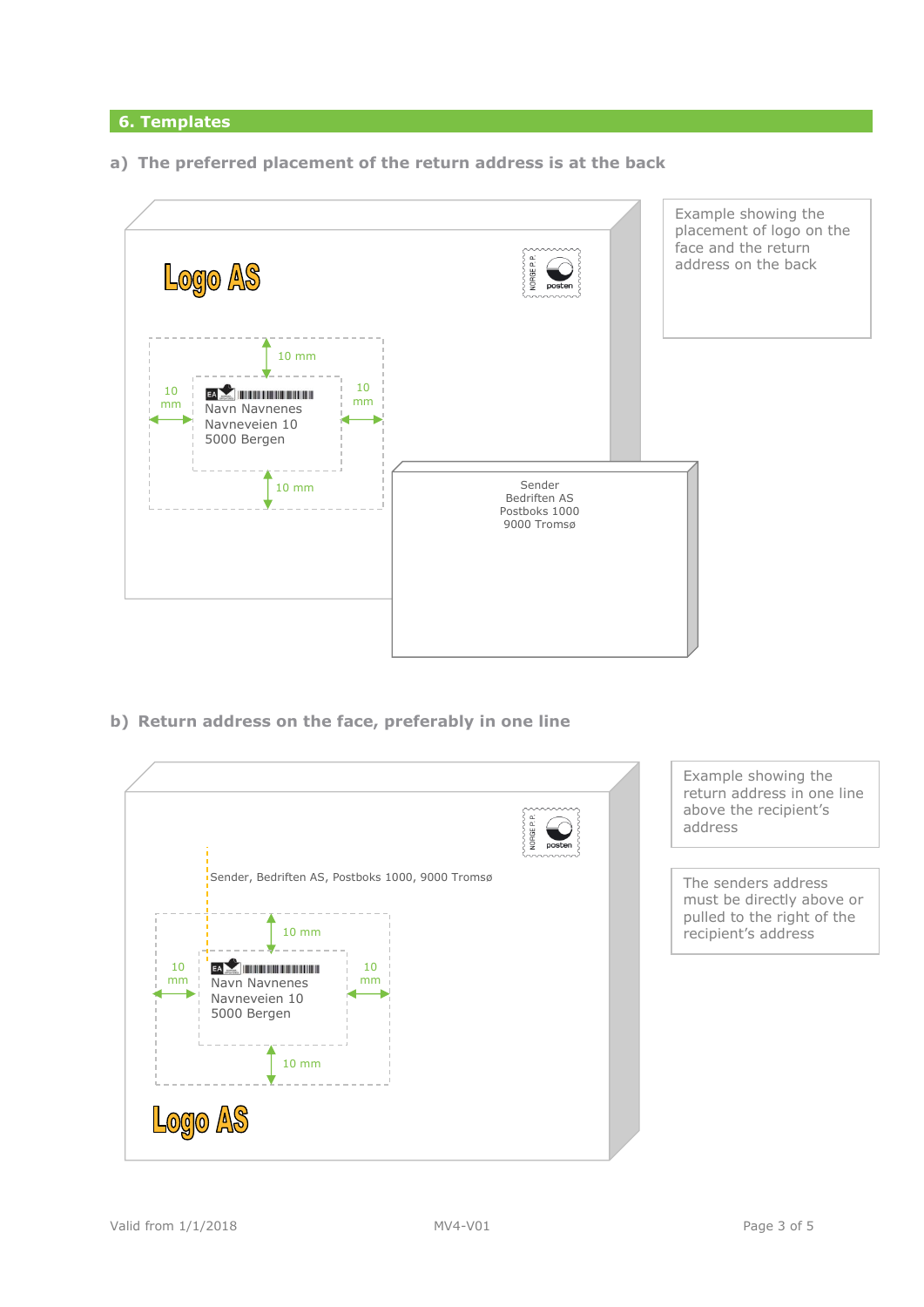## **6. Templates**

**a) The preferred placement of the return address is at the back** 



**b) Return address on the face, preferably in one line**

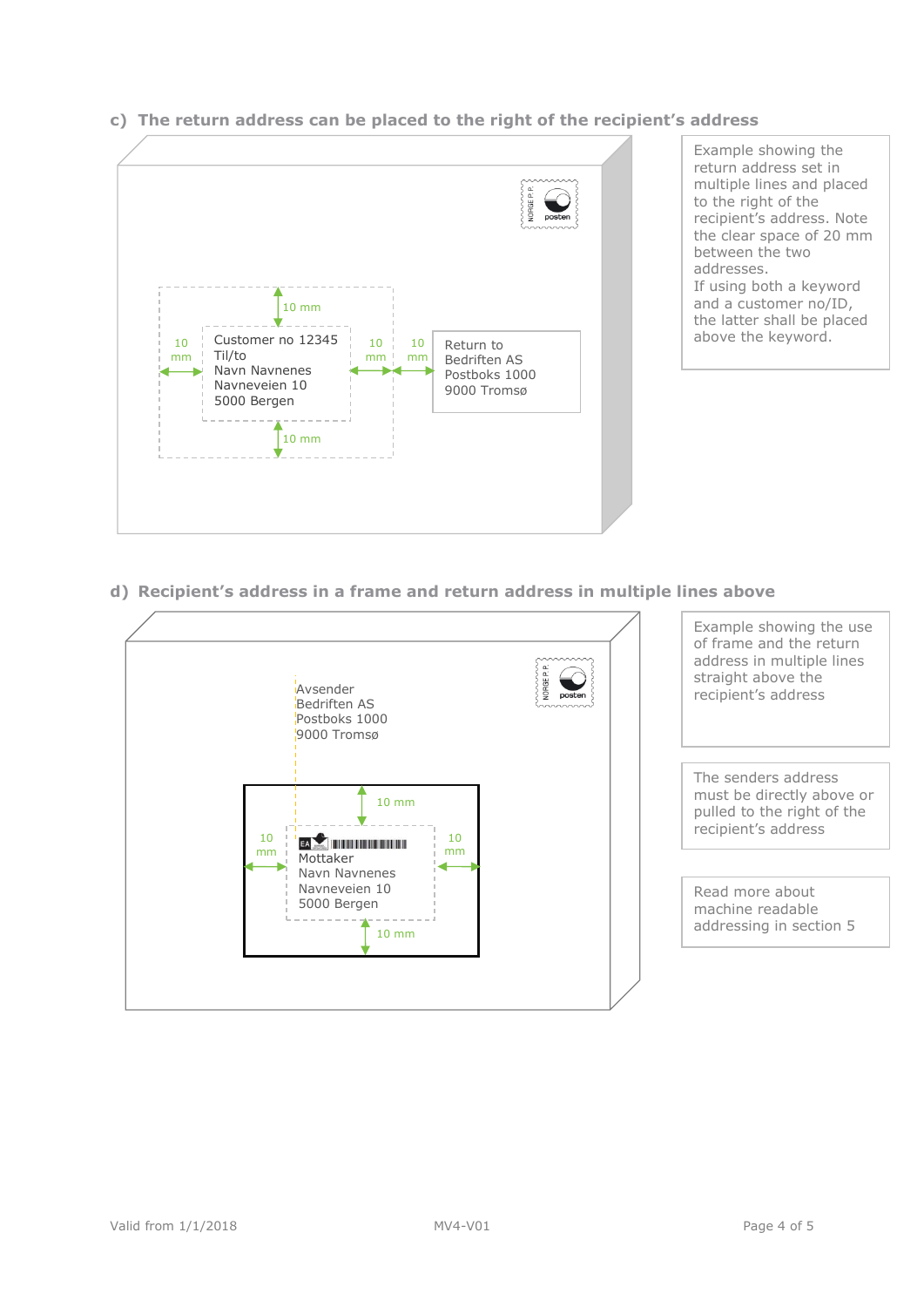

# **c) The return address can be placed to the right of the recipient's address**

Example showing the return address set in multiple lines and placed to the right of the recipient's address. Note the clear space of 20 mm between the two addresses. If using both a keyword and a customer no/ID, the latter shall be placed above the keyword.

## **d) Recipient's address in a frame and return address in multiple lines above**